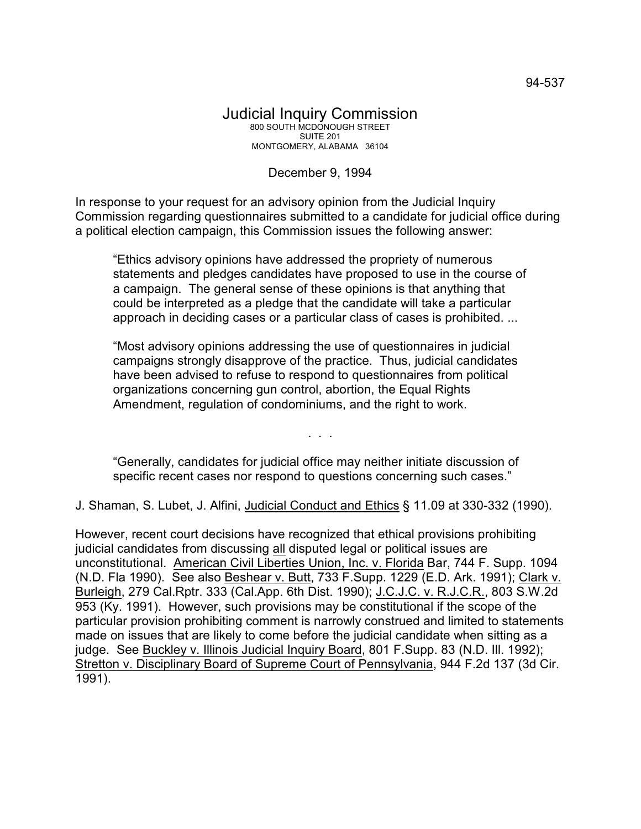## Judicial Inquiry Commission 800 SOUTH MCDONOUGH STREET SUITE 201 MONTGOMERY, ALABAMA 36104

## December 9, 1994

In response to your request for an advisory opinion from the Judicial Inquiry Commission regarding questionnaires submitted to a candidate for judicial office during a political election campaign, this Commission issues the following answer:

"Ethics advisory opinions have addressed the propriety of numerous statements and pledges candidates have proposed to use in the course of a campaign. The general sense of these opinions is that anything that could be interpreted as a pledge that the candidate will take a particular approach in deciding cases or a particular class of cases is prohibited. ...

"Most advisory opinions addressing the use of questionnaires in judicial campaigns strongly disapprove of the practice. Thus, judicial candidates have been advised to refuse to respond to questionnaires from political organizations concerning gun control, abortion, the Equal Rights Amendment, regulation of condominiums, and the right to work.

"Generally, candidates for judicial office may neither initiate discussion of specific recent cases nor respond to questions concerning such cases."

. . .

J. Shaman, S. Lubet, J. Alfini, Judicial Conduct and Ethics § 11.09 at 330-332 (1990).

However, recent court decisions have recognized that ethical provisions prohibiting judicial candidates from discussing all disputed legal or political issues are unconstitutional. American Civil Liberties Union, Inc. v. Florida Bar, 744 F. Supp. 1094 (N.D. Fla 1990). See also Beshear v. Butt, 733 F.Supp. 1229 (E.D. Ark. 1991); Clark v. Burleigh, 279 Cal.Rptr. 333 (Cal.App. 6th Dist. 1990); J.C.J.C. v. R.J.C.R., 803 S.W.2d 953 (Ky. 1991). However, such provisions may be constitutional if the scope of the particular provision prohibiting comment is narrowly construed and limited to statements made on issues that are likely to come before the judicial candidate when sitting as a judge. See Buckley v. Illinois Judicial Inquiry Board, 801 F.Supp. 83 (N.D. Ill. 1992); Stretton v. Disciplinary Board of Supreme Court of Pennsylvania, 944 F.2d 137 (3d Cir. 1991).